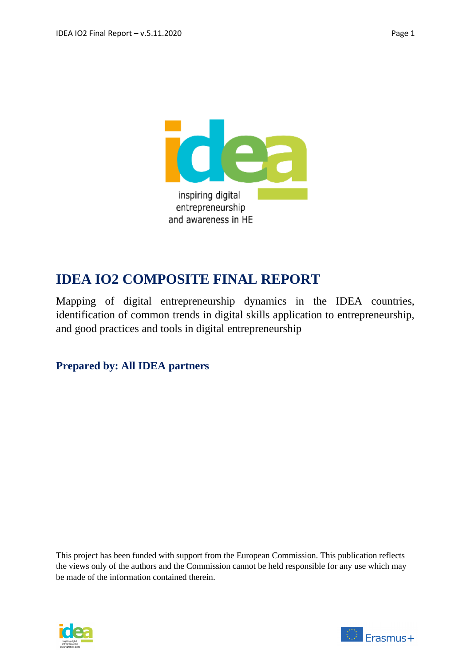

# **IDEA IO2 COMPOSITE FINAL REPORT**

Mapping of digital entrepreneurship dynamics in the IDEA countries, identification of common trends in digital skills application to entrepreneurship, and good practices and tools in digital entrepreneurship

## **Prepared by: All IDEA partners**

This project has been funded with support from the European Commission. This publication reflects the views only of the authors and the Commission cannot be held responsible for any use which may be made of the information contained therein.



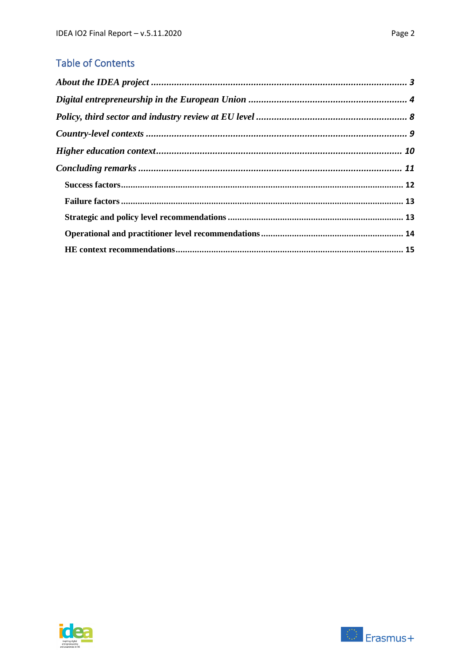## **Table of Contents**

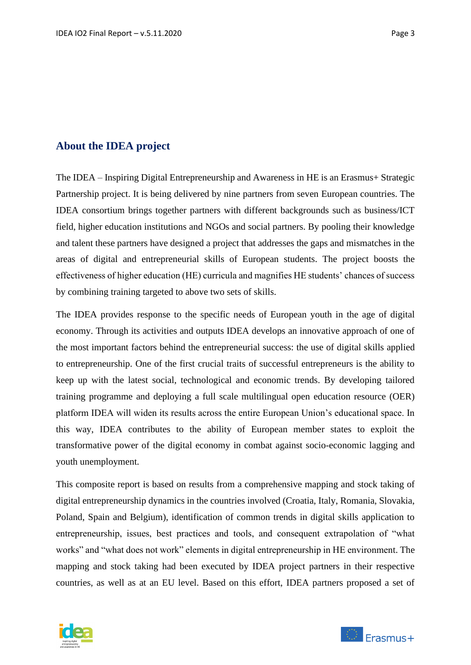## <span id="page-2-0"></span>**About the IDEA project**

The IDEA – Inspiring Digital Entrepreneurship and Awareness in HE is an Erasmus+ Strategic Partnership project. It is being delivered by nine partners from seven European countries. The IDEA consortium brings together partners with different backgrounds such as business/ICT field, higher education institutions and NGOs and social partners. By pooling their knowledge and talent these partners have designed a project that addresses the gaps and mismatches in the areas of digital and entrepreneurial skills of European students. The project boosts the effectiveness of higher education (HE) curricula and magnifies HE students' chances of success by combining training targeted to above two sets of skills.

The IDEA provides response to the specific needs of European youth in the age of digital economy. Through its activities and outputs IDEA develops an innovative approach of one of the most important factors behind the entrepreneurial success: the use of digital skills applied to entrepreneurship. One of the first crucial traits of successful entrepreneurs is the ability to keep up with the latest social, technological and economic trends. By developing tailored training programme and deploying a full scale multilingual open education resource (OER) platform IDEA will widen its results across the entire European Union's educational space. In this way, IDEA contributes to the ability of European member states to exploit the transformative power of the digital economy in combat against socio-economic lagging and youth unemployment.

This composite report is based on results from a comprehensive mapping and stock taking of digital entrepreneurship dynamics in the countries involved (Croatia, Italy, Romania, Slovakia, Poland, Spain and Belgium), identification of common trends in digital skills application to entrepreneurship, issues, best practices and tools, and consequent extrapolation of "what works" and "what does not work" elements in digital entrepreneurship in HE environment. The mapping and stock taking had been executed by IDEA project partners in their respective countries, as well as at an EU level. Based on this effort, IDEA partners proposed a set of



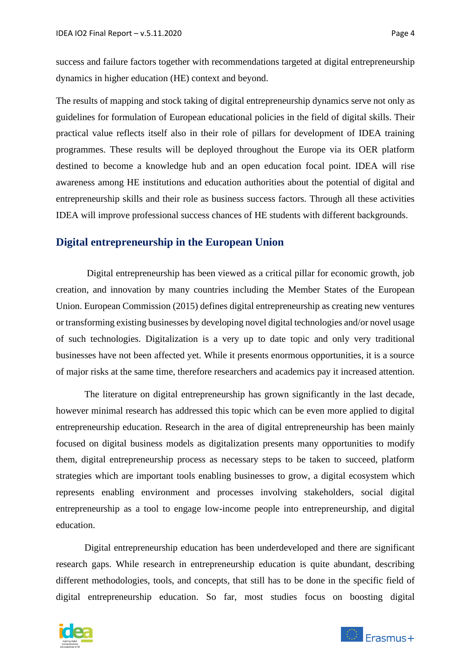success and failure factors together with recommendations targeted at digital entrepreneurship dynamics in higher education (HE) context and beyond.

The results of mapping and stock taking of digital entrepreneurship dynamics serve not only as guidelines for formulation of European educational policies in the field of digital skills. Their practical value reflects itself also in their role of pillars for development of IDEA training programmes. These results will be deployed throughout the Europe via its OER platform destined to become a knowledge hub and an open education focal point. IDEA will rise awareness among HE institutions and education authorities about the potential of digital and entrepreneurship skills and their role as business success factors. Through all these activities IDEA will improve professional success chances of HE students with different backgrounds.

#### <span id="page-3-0"></span>**Digital entrepreneurship in the European Union**

 Digital entrepreneurship has been viewed as a critical pillar for economic growth, job creation, and innovation by many countries including the Member States of the European Union. European Commission (2015) defines digital entrepreneurship as creating new ventures or transforming existing businesses by developing novel digital technologies and/or novel usage of such technologies. Digitalization is a very up to date topic and only very traditional businesses have not been affected yet. While it presents enormous opportunities, it is a source of major risks at the same time, therefore researchers and academics pay it increased attention.

The literature on digital entrepreneurship has grown significantly in the last decade, however minimal research has addressed this topic which can be even more applied to digital entrepreneurship education. Research in the area of digital entrepreneurship has been mainly focused on digital business models as digitalization presents many opportunities to modify them, digital entrepreneurship process as necessary steps to be taken to succeed, platform strategies which are important tools enabling businesses to grow, a digital ecosystem which represents enabling environment and processes involving stakeholders, social digital entrepreneurship as a tool to engage low-income people into entrepreneurship, and digital education.

Digital entrepreneurship education has been underdeveloped and there are significant research gaps. While research in entrepreneurship education is quite abundant, describing different methodologies, tools, and concepts, that still has to be done in the specific field of digital entrepreneurship education. So far, most studies focus on boosting digital



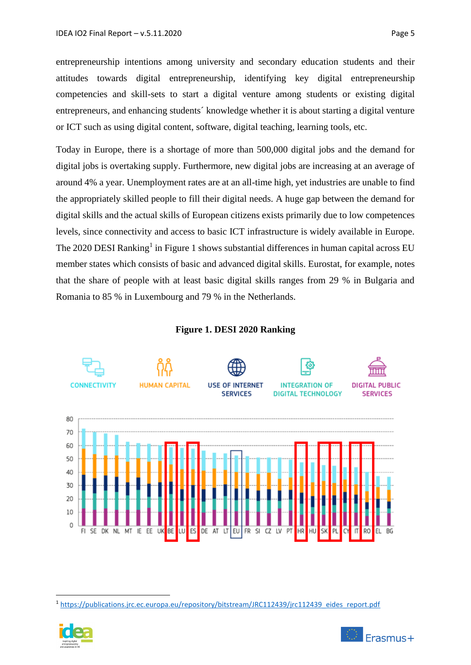entrepreneurship intentions among university and secondary education students and their attitudes towards digital entrepreneurship, identifying key digital entrepreneurship competencies and skill-sets to start a digital venture among students or existing digital entrepreneurs, and enhancing students´ knowledge whether it is about starting a digital venture or ICT such as using digital content, software, digital teaching, learning tools, etc.

Today in Europe, there is a shortage of more than 500,000 digital jobs and the demand for digital jobs is overtaking supply. Furthermore, new digital jobs are increasing at an average of around 4% a year. Unemployment rates are at an all-time high, yet industries are unable to find the appropriately skilled people to fill their digital needs. A huge gap between the demand for digital skills and the actual skills of European citizens exists primarily due to low competences levels, since connectivity and access to basic ICT infrastructure is widely available in Europe. The 2020 DESI Ranking<sup>1</sup> in Figure 1 shows substantial differences in human capital across EU member states which consists of basic and advanced digital skills. Eurostat, for example, notes that the share of people with at least basic digital skills ranges from 29 % in Bulgaria and Romania to 85 % in Luxembourg and 79 % in the Netherlands.

#### **Figure 1. DESI 2020 Ranking**



<sup>&</sup>lt;sup>1</sup> [https://publications.jrc.ec.europa.eu/repository/bitstream/JRC112439/jrc112439\\_eides\\_report.pdf](https://publications.jrc.ec.europa.eu/repository/bitstream/JRC112439/jrc112439_eides_report.pdf)

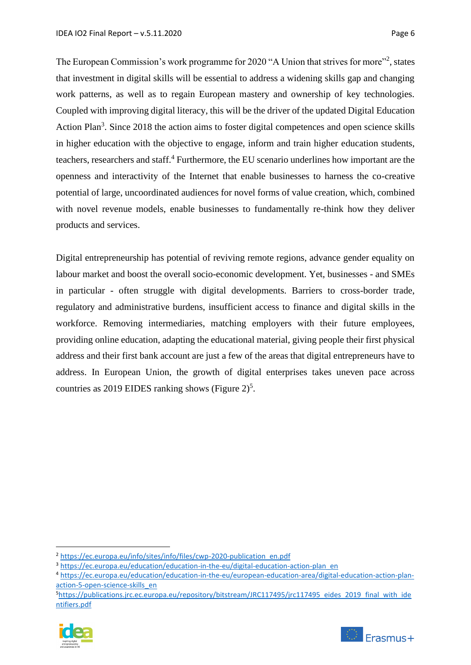The European Commission's work programme for 2020 "A Union that strives for more"<sup>2</sup>, states that investment in digital skills will be essential to address a widening skills gap and changing work patterns, as well as to regain European mastery and ownership of key technologies. Coupled with improving digital literacy, this will be the driver of the updated Digital Education Action Plan<sup>3</sup>. Since 2018 the action aims to foster digital competences and open science skills in higher education with the objective to engage, inform and train higher education students, teachers, researchers and staff.<sup>4</sup> Furthermore, the EU scenario underlines how important are the openness and interactivity of the Internet that enable businesses to harness the co-creative potential of large, uncoordinated audiences for novel forms of value creation, which, combined with novel revenue models, enable businesses to fundamentally re-think how they deliver products and services.

Digital entrepreneurship has potential of reviving remote regions, advance gender equality on labour market and boost the overall socio-economic development. Yet, businesses - and SMEs in particular - often struggle with digital developments. Barriers to cross-border trade, regulatory and administrative burdens, insufficient access to finance and digital skills in the workforce. Removing intermediaries, matching employers with their future employees, providing online education, adapting the educational material, giving people their first physical address and their first bank account are just a few of the areas that digital entrepreneurs have to address. In European Union, the growth of digital enterprises takes uneven pace across countries as 2019 EIDES ranking shows (Figure  $2)^5$ .

<sup>&</sup>lt;sup>5</sup>[https://publications.jrc.ec.europa.eu/repository/bitstream/JRC117495/jrc117495\\_eides\\_2019\\_final\\_with\\_ide](https://publications.jrc.ec.europa.eu/repository/bitstream/JRC117495/jrc117495_eides_2019_final_with_identifiers.pdf) [ntifiers.pdf](https://publications.jrc.ec.europa.eu/repository/bitstream/JRC117495/jrc117495_eides_2019_final_with_identifiers.pdf)





<sup>2</sup> [https://ec.europa.eu/info/sites/info/files/cwp-2020-publication\\_en.pdf](https://ec.europa.eu/info/sites/info/files/cwp-2020-publication_en.pdf)

<sup>&</sup>lt;sup>3</sup> [https://ec.europa.eu/education/education-in-the-eu/digital-education-action-plan\\_en](https://ec.europa.eu/education/education-in-the-eu/digital-education-action-plan_en)

<sup>4</sup> [https://ec.europa.eu/education/education-in-the-eu/european-education-area/digital-education-action-plan](https://ec.europa.eu/education/education-in-the-eu/european-education-area/digital-education-action-plan-action-5-open-science-skills_en)[action-5-open-science-skills\\_en](https://ec.europa.eu/education/education-in-the-eu/european-education-area/digital-education-action-plan-action-5-open-science-skills_en)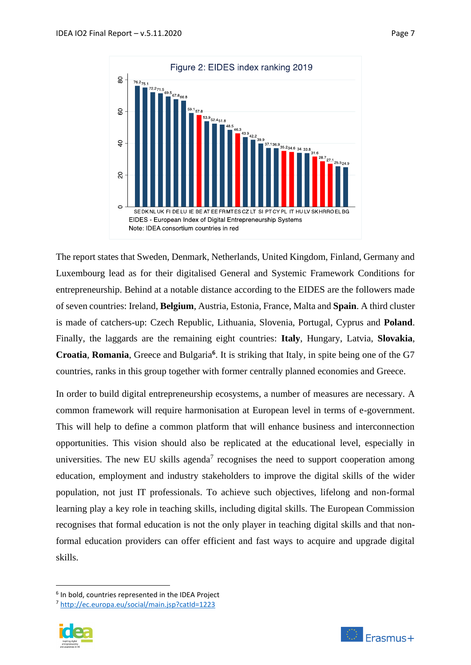

The report states that Sweden, Denmark, Netherlands, United Kingdom, Finland, Germany and Luxembourg lead as for their digitalised General and Systemic Framework Conditions for entrepreneurship. Behind at a notable distance according to the EIDES are the followers made of seven countries: Ireland, **Belgium**, Austria, Estonia, France, Malta and **Spain**. A third cluster is made of catchers-up: Czech Republic, Lithuania, Slovenia, Portugal, Cyprus and **Poland**. Finally, the laggards are the remaining eight countries: **Italy**, Hungary, Latvia, **Slovakia**, **Croatia**, **Romania**, Greece and Bulgaria**<sup>6</sup>** . It is striking that Italy, in spite being one of the G7 countries, ranks in this group together with former centrally planned economies and Greece.

In order to build digital entrepreneurship ecosystems, a number of measures are necessary. A common framework will require harmonisation at European level in terms of e-government. This will help to define a common platform that will enhance business and interconnection opportunities. This vision should also be replicated at the educational level, especially in universities. The new EU skills agenda<sup>7</sup> recognises the need to support cooperation among education, employment and industry stakeholders to improve the digital skills of the wider population, not just IT professionals. To achieve such objectives, lifelong and non-formal learning play a key role in teaching skills, including digital skills. The European Commission recognises that formal education is not the only player in teaching digital skills and that nonformal education providers can offer efficient and fast ways to acquire and upgrade digital skills.

<sup>7</sup> <http://ec.europa.eu/social/main.jsp?catId=1223>



<sup>&</sup>lt;sup>6</sup> In bold, countries represented in the IDEA Project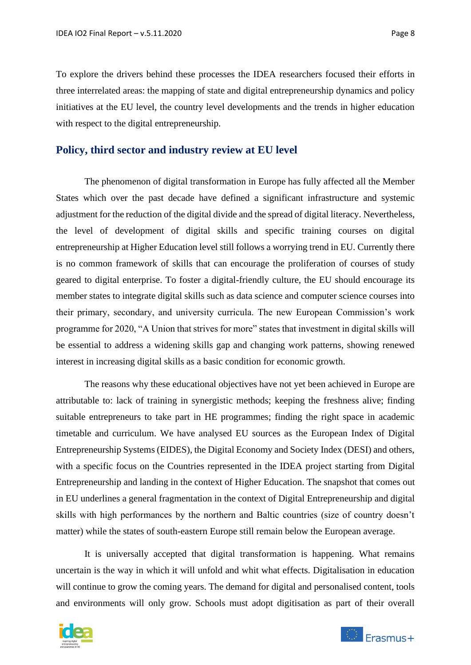To explore the drivers behind these processes the IDEA researchers focused their efforts in three interrelated areas: the mapping of state and digital entrepreneurship dynamics and policy initiatives at the EU level, the country level developments and the trends in higher education with respect to the digital entrepreneurship.

#### <span id="page-7-0"></span>**Policy, third sector and industry review at EU level**

The phenomenon of digital transformation in Europe has fully affected all the Member States which over the past decade have defined a significant infrastructure and systemic adjustment for the reduction of the digital divide and the spread of digital literacy. Nevertheless, the level of development of digital skills and specific training courses on digital entrepreneurship at Higher Education level still follows a worrying trend in EU. Currently there is no common framework of skills that can encourage the proliferation of courses of study geared to digital enterprise. To foster a digital-friendly culture, the EU should encourage its member states to integrate digital skills such as data science and computer science courses into their primary, secondary, and university curricula. The new European Commission's work programme for 2020, "A Union that strives for more" states that investment in digital skills will be essential to address a widening skills gap and changing work patterns, showing renewed interest in increasing digital skills as a basic condition for economic growth.

The reasons why these educational objectives have not yet been achieved in Europe are attributable to: lack of training in synergistic methods; keeping the freshness alive; finding suitable entrepreneurs to take part in HE programmes; finding the right space in academic timetable and curriculum. We have analysed EU sources as the European Index of Digital Entrepreneurship Systems (EIDES), the Digital Economy and Society Index (DESI) and others, with a specific focus on the Countries represented in the IDEA project starting from Digital Entrepreneurship and landing in the context of Higher Education. The snapshot that comes out in EU underlines a general fragmentation in the context of Digital Entrepreneurship and digital skills with high performances by the northern and Baltic countries (size of country doesn't matter) while the states of south-eastern Europe still remain below the European average.

It is universally accepted that digital transformation is happening. What remains uncertain is the way in which it will unfold and whit what effects. Digitalisation in education will continue to grow the coming years. The demand for digital and personalised content, tools and environments will only grow. Schools must adopt digitisation as part of their overall

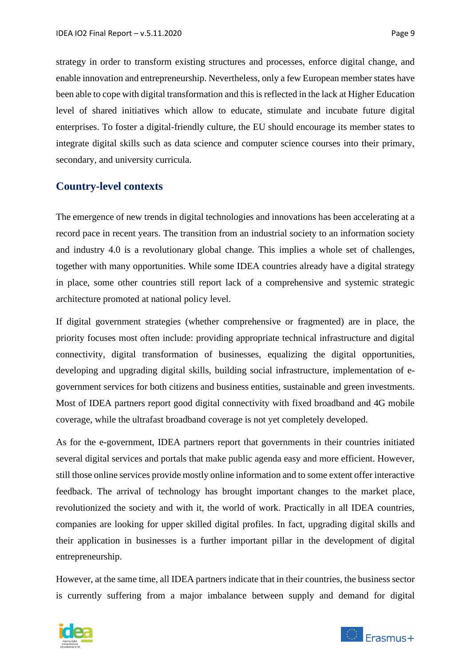strategy in order to transform existing structures and processes, enforce digital change, and enable innovation and entrepreneurship. Nevertheless, only a few European member states have been able to cope with digital transformation and this is reflected in the lack at Higher Education level of shared initiatives which allow to educate, stimulate and incubate future digital enterprises. To foster a digital-friendly culture, the EU should encourage its member states to integrate digital skills such as data science and computer science courses into their primary, secondary, and university curricula.

### <span id="page-8-0"></span>**Country-level contexts**

The emergence of new trends in digital technologies and innovations has been accelerating at a record pace in recent years. The transition from an industrial society to an information society and industry 4.0 is a revolutionary global change. This implies a whole set of challenges, together with many opportunities. While some IDEA countries already have a digital strategy in place, some other countries still report lack of a comprehensive and systemic strategic architecture promoted at national policy level.

If digital government strategies (whether comprehensive or fragmented) are in place, the priority focuses most often include: providing appropriate technical infrastructure and digital connectivity, digital transformation of businesses, equalizing the digital opportunities, developing and upgrading digital skills, building social infrastructure, implementation of egovernment services for both citizens and business entities, sustainable and green investments. Most of IDEA partners report good digital connectivity with fixed broadband and 4G mobile coverage, while the ultrafast broadband coverage is not yet completely developed.

As for the e-government, IDEA partners report that governments in their countries initiated several digital services and portals that make public agenda easy and more efficient. However, still those online services provide mostly online information and to some extent offer interactive feedback. The arrival of technology has brought important changes to the market place, revolutionized the society and with it, the world of work. Practically in all IDEA countries, companies are looking for upper skilled digital profiles. In fact, upgrading digital skills and their application in businesses is a further important pillar in the development of digital entrepreneurship.

However, at the same time, all IDEA partners indicate that in their countries, the business sector is currently suffering from a major imbalance between supply and demand for digital

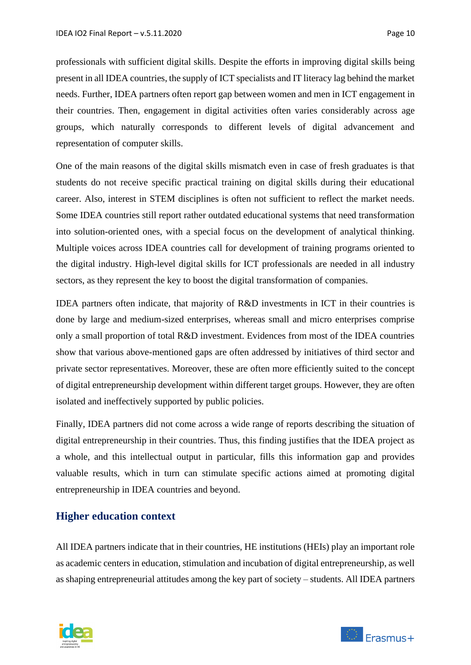professionals with sufficient digital skills. Despite the efforts in improving digital skills being present in all IDEA countries, the supply of ICT specialists and IT literacy lag behind the market needs. Further, IDEA partners often report gap between women and men in ICT engagement in their countries. Then, engagement in digital activities often varies considerably across age groups, which naturally corresponds to different levels of digital advancement and representation of computer skills.

One of the main reasons of the digital skills mismatch even in case of fresh graduates is that students do not receive specific practical training on digital skills during their educational career. Also, interest in STEM disciplines is often not sufficient to reflect the market needs. Some IDEA countries still report rather outdated educational systems that need transformation into solution-oriented ones, with a special focus on the development of analytical thinking. Multiple voices across IDEA countries call for development of training programs oriented to the digital industry. High-level digital skills for ICT professionals are needed in all industry sectors, as they represent the key to boost the digital transformation of companies.

IDEA partners often indicate, that majority of R&D investments in ICT in their countries is done by large and medium-sized enterprises, whereas small and micro enterprises comprise only a small proportion of total R&D investment. Evidences from most of the IDEA countries show that various above-mentioned gaps are often addressed by initiatives of third sector and private sector representatives. Moreover, these are often more efficiently suited to the concept of digital entrepreneurship development within different target groups. However, they are often isolated and ineffectively supported by public policies.

Finally, IDEA partners did not come across a wide range of reports describing the situation of digital entrepreneurship in their countries. Thus, this finding justifies that the IDEA project as a whole, and this intellectual output in particular, fills this information gap and provides valuable results, which in turn can stimulate specific actions aimed at promoting digital entrepreneurship in IDEA countries and beyond.

## <span id="page-9-0"></span>**Higher education context**

All IDEA partners indicate that in their countries, HE institutions (HEIs) play an important role as academic centers in education, stimulation and incubation of digital entrepreneurship, as well as shaping entrepreneurial attitudes among the key part of society – students. All IDEA partners

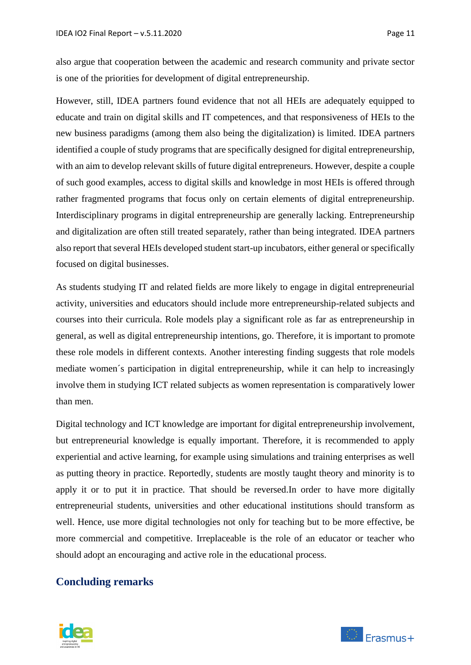also argue that cooperation between the academic and research community and private sector is one of the priorities for development of digital entrepreneurship.

However, still, IDEA partners found evidence that not all HEIs are adequately equipped to educate and train on digital skills and IT competences, and that responsiveness of HEIs to the new business paradigms (among them also being the digitalization) is limited. IDEA partners identified a couple of study programs that are specifically designed for digital entrepreneurship, with an aim to develop relevant skills of future digital entrepreneurs. However, despite a couple of such good examples, access to digital skills and knowledge in most HEIs is offered through rather fragmented programs that focus only on certain elements of digital entrepreneurship. Interdisciplinary programs in digital entrepreneurship are generally lacking. Entrepreneurship and digitalization are often still treated separately, rather than being integrated. IDEA partners also report that several HEIs developed student start-up incubators, either general or specifically focused on digital businesses.

As students studying IT and related fields are more likely to engage in digital entrepreneurial activity, universities and educators should include more entrepreneurship-related subjects and courses into their curricula. Role models play a significant role as far as entrepreneurship in general, as well as digital entrepreneurship intentions, go. Therefore, it is important to promote these role models in different contexts. Another interesting finding suggests that role models mediate women´s participation in digital entrepreneurship, while it can help to increasingly involve them in studying ICT related subjects as women representation is comparatively lower than men.

Digital technology and ICT knowledge are important for digital entrepreneurship involvement, but entrepreneurial knowledge is equally important. Therefore, it is recommended to apply experiential and active learning, for example using simulations and training enterprises as well as putting theory in practice. Reportedly, students are mostly taught theory and minority is to apply it or to put it in practice. That should be reversed.In order to have more digitally entrepreneurial students, universities and other educational institutions should transform as well. Hence, use more digital technologies not only for teaching but to be more effective, be more commercial and competitive. Irreplaceable is the role of an educator or teacher who should adopt an encouraging and active role in the educational process.

### <span id="page-10-0"></span>**Concluding remarks**

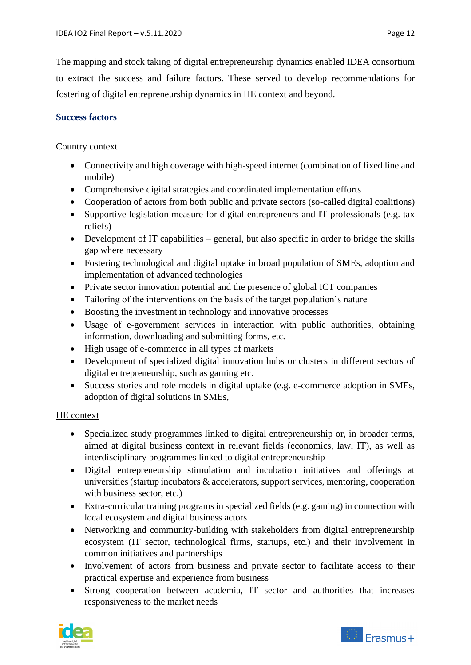The mapping and stock taking of digital entrepreneurship dynamics enabled IDEA consortium to extract the success and failure factors. These served to develop recommendations for fostering of digital entrepreneurship dynamics in HE context and beyond.

## <span id="page-11-0"></span>**Success factors**

### Country context

- Connectivity and high coverage with high-speed internet (combination of fixed line and mobile)
- Comprehensive digital strategies and coordinated implementation efforts
- Cooperation of actors from both public and private sectors (so-called digital coalitions)
- Supportive legislation measure for digital entrepreneurs and IT professionals (e.g. tax reliefs)
- Development of IT capabilities general, but also specific in order to bridge the skills gap where necessary
- Fostering technological and digital uptake in broad population of SMEs, adoption and implementation of advanced technologies
- Private sector innovation potential and the presence of global ICT companies
- Tailoring of the interventions on the basis of the target population's nature
- Boosting the investment in technology and innovative processes
- Usage of e-government services in interaction with public authorities, obtaining information, downloading and submitting forms, etc.
- High usage of e-commerce in all types of markets
- Development of specialized digital innovation hubs or clusters in different sectors of digital entrepreneurship, such as gaming etc.
- Success stories and role models in digital uptake (e.g. e-commerce adoption in SMEs, adoption of digital solutions in SMEs,

## HE context

- Specialized study programmes linked to digital entrepreneurship or, in broader terms, aimed at digital business context in relevant fields (economics, law, IT), as well as interdisciplinary programmes linked to digital entrepreneurship
- Digital entrepreneurship stimulation and incubation initiatives and offerings at universities (startup incubators & accelerators, support services, mentoring, cooperation with business sector, etc.)
- Extra-curricular training programs in specialized fields (e.g. gaming) in connection with local ecosystem and digital business actors
- Networking and community-building with stakeholders from digital entrepreneurship ecosystem (IT sector, technological firms, startups, etc.) and their involvement in common initiatives and partnerships
- Involvement of actors from business and private sector to facilitate access to their practical expertise and experience from business
- Strong cooperation between academia, IT sector and authorities that increases responsiveness to the market needs



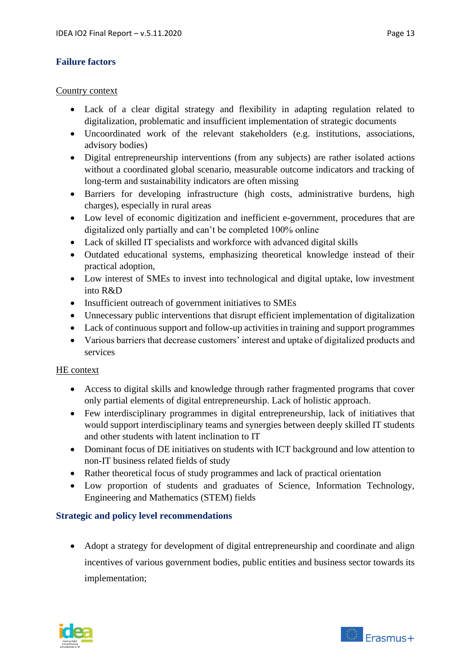### <span id="page-12-0"></span>**Failure factors**

#### Country context

- Lack of a clear digital strategy and flexibility in adapting regulation related to digitalization, problematic and insufficient implementation of strategic documents
- Uncoordinated work of the relevant stakeholders (e.g. institutions, associations, advisory bodies)
- Digital entrepreneurship interventions (from any subjects) are rather isolated actions without a coordinated global scenario, measurable outcome indicators and tracking of long-term and sustainability indicators are often missing
- Barriers for developing infrastructure (high costs, administrative burdens, high charges), especially in rural areas
- Low level of economic digitization and inefficient e-government, procedures that are digitalized only partially and can't be completed 100% online
- Lack of skilled IT specialists and workforce with advanced digital skills
- Outdated educational systems, emphasizing theoretical knowledge instead of their practical adoption,
- Low interest of SMEs to invest into technological and digital uptake, low investment into R&D
- Insufficient outreach of government initiatives to SMEs
- Unnecessary public interventions that disrupt efficient implementation of digitalization
- Lack of continuous support and follow-up activities in training and support programmes
- Various barriers that decrease customers' interest and uptake of digitalized products and services

#### HE context

- Access to digital skills and knowledge through rather fragmented programs that cover only partial elements of digital entrepreneurship. Lack of holistic approach.
- Few interdisciplinary programmes in digital entrepreneurship, lack of initiatives that would support interdisciplinary teams and synergies between deeply skilled IT students and other students with latent inclination to IT
- Dominant focus of DE initiatives on students with ICT background and low attention to non-IT business related fields of study
- Rather theoretical focus of study programmes and lack of practical orientation
- Low proportion of students and graduates of Science, Information Technology, Engineering and Mathematics (STEM) fields

### <span id="page-12-1"></span>**Strategic and policy level recommendations**

• Adopt a strategy for development of digital entrepreneurship and coordinate and align incentives of various government bodies, public entities and business sector towards its implementation;



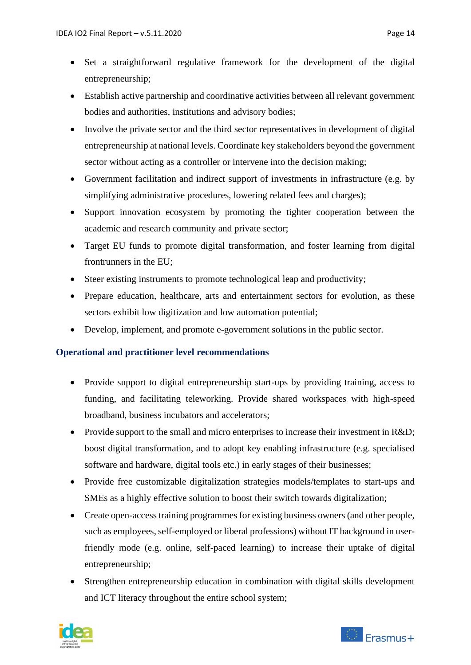- Set a straightforward regulative framework for the development of the digital entrepreneurship;
- Establish active partnership and coordinative activities between all relevant government bodies and authorities, institutions and advisory bodies;
- Involve the private sector and the third sector representatives in development of digital entrepreneurship at national levels. Coordinate key stakeholders beyond the government sector without acting as a controller or intervene into the decision making;
- Government facilitation and indirect support of investments in infrastructure (e.g. by simplifying administrative procedures, lowering related fees and charges);
- Support innovation ecosystem by promoting the tighter cooperation between the academic and research community and private sector;
- Target EU funds to promote digital transformation, and foster learning from digital frontrunners in the EU;
- Steer existing instruments to promote technological leap and productivity;
- Prepare education, healthcare, arts and entertainment sectors for evolution, as these sectors exhibit low digitization and low automation potential;
- Develop, implement, and promote e-government solutions in the public sector.

### <span id="page-13-0"></span>**Operational and practitioner level recommendations**

- Provide support to digital entrepreneurship start-ups by providing training, access to funding, and facilitating teleworking. Provide shared workspaces with high-speed broadband, business incubators and accelerators;
- Provide support to the small and micro enterprises to increase their investment in R&D; boost digital transformation, and to adopt key enabling infrastructure (e.g. specialised software and hardware, digital tools etc.) in early stages of their businesses;
- Provide free customizable digitalization strategies models/templates to start-ups and SMEs as a highly effective solution to boost their switch towards digitalization;
- Create open-access training programmes for existing business owners (and other people, such as employees, self-employed or liberal professions) without IT background in userfriendly mode (e.g. online, self-paced learning) to increase their uptake of digital entrepreneurship;
- Strengthen entrepreneurship education in combination with digital skills development and ICT literacy throughout the entire school system;



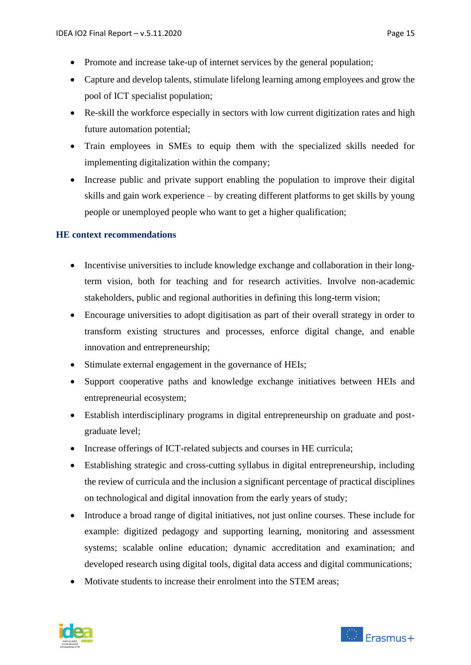- Promote and increase take-up of internet services by the general population;
- Capture and develop talents, stimulate lifelong learning among employees and grow the pool of ICT specialist population;
- Re-skill the workforce especially in sectors with low current digitization rates and high future automation potential;
- Train employees in SMEs to equip them with the specialized skills needed for implementing digitalization within the company;
- Increase public and private support enabling the population to improve their digital skills and gain work experience – by creating different platforms to get skills by young people or unemployed people who want to get a higher qualification;

#### <span id="page-14-0"></span>**HE context recommendations**

- Incentivise universities to include knowledge exchange and collaboration in their longterm vision, both for teaching and for research activities. Involve non-academic stakeholders, public and regional authorities in defining this long-term vision;
- Encourage universities to adopt digitisation as part of their overall strategy in order to transform existing structures and processes, enforce digital change, and enable innovation and entrepreneurship;
- Stimulate external engagement in the governance of HEIs;
- Support cooperative paths and knowledge exchange initiatives between HEIs and entrepreneurial ecosystem;
- Establish interdisciplinary programs in digital entrepreneurship on graduate and postgraduate level;
- Increase offerings of ICT-related subjects and courses in HE curricula;
- Establishing strategic and cross-cutting syllabus in digital entrepreneurship, including the review of curricula and the inclusion a significant percentage of practical disciplines on technological and digital innovation from the early years of study;
- Introduce a broad range of digital initiatives, not just online courses. These include for example: digitized pedagogy and supporting learning, monitoring and assessment systems; scalable online education; dynamic accreditation and examination; and developed research using digital tools, digital data access and digital communications;
- Motivate students to increase their enrolment into the STEM areas: